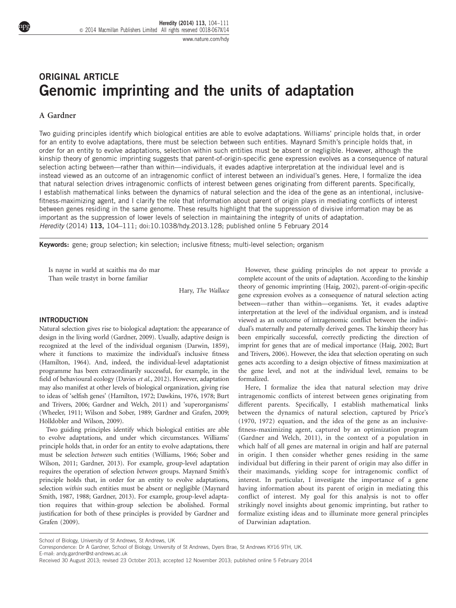# ORIGINAL ARTICLE Genomic imprinting and the units of adaptation

# A Gardner

Two guiding principles identify which biological entities are able to evolve adaptations. Williams' principle holds that, in order for an entity to evolve adaptations, there must be selection between such entities. Maynard Smith's principle holds that, in order for an entity to evolve adaptations, selection within such entities must be absent or negligible. However, although the kinship theory of genomic imprinting suggests that parent-of-origin-specific gene expression evolves as a consequence of natural selection acting between—rather than within—individuals, it evades adaptive interpretation at the individual level and is instead viewed as an outcome of an intragenomic conflict of interest between an individual's genes. Here, I formalize the idea that natural selection drives intragenomic conflicts of interest between genes originating from different parents. Specifically, I establish mathematical links between the dynamics of natural selection and the idea of the gene as an intentional, inclusivefitness-maximizing agent, and I clarify the role that information about parent of origin plays in mediating conflicts of interest between genes residing in the same genome. These results highlight that the suppression of divisive information may be as important as the suppression of lower levels of selection in maintaining the integrity of units of adaptation. Heredity (2014) 113, 104–111; doi[:10.1038/hdy.2013.128;](http://dx.doi.org/10.1038/hdy.2013.128) published online 5 February 2014

Keywords: gene; group selection; kin selection; inclusive fitness; multi-level selection; organism

Is nayne in warld at scaithis ma do mar Than weile trastyt in borne familiar

Hary, The Wallace

## INTRODUCTION

Natural selection gives rise to biological adaptation: the appearance of design in the living world [\(Gardner, 2009](#page-5-0)). Usually, adaptive design is recognized at the level of the individual organism [\(Darwin, 1859\)](#page-5-0), where it functions to maximize the individual's inclusive fitness ([Hamilton, 1964](#page-5-0)). And, indeed, the individual-level adaptationist programme has been extraordinarily successful, for example, in the field of behavioural ecology [\(Davies](#page-5-0) et al., 2012). However, adaptation may also manifest at other levels of biological organization, giving rise to ideas of 'selfish genes' ([Hamilton, 1972](#page-5-0); [Dawkins, 1976, 1978; Burt](#page-5-0) [and Trivers, 2006; Gardner and Welch, 2011\)](#page-5-0) and 'superorganisms' ([Wheeler, 1911; Wilson and Sober, 1989; Gardner and Grafen, 2009](#page-5-0); Hölldobler and Wilson, 2009).

Two guiding principles identify which biological entities are able to evolve adaptations, and under which circumstances. Williams' principle holds that, in order for an entity to evolve adaptations, there must be selection between such entities [\(Williams, 1966](#page-5-0); [Sober and](#page-5-0) [Wilson, 2011](#page-5-0); [Gardner, 2013\)](#page-5-0). For example, group-level adaptation requires the operation of selection between groups. Maynard Smith's principle holds that, in order for an entity to evolve adaptations, selection within such entities must be absent or negligible [\(Maynard](#page-5-0) [Smith, 1987, 1988](#page-5-0); [Gardner, 2013](#page-5-0)). For example, group-level adaptation requires that within-group selection be abolished. Formal justification for both of these principles is provided by [Gardner and](#page-5-0) [Grafen \(2009\).](#page-5-0)

However, these guiding principles do not appear to provide a complete account of the units of adaptation. According to the kinship theory of genomic imprinting [\(Haig, 2002](#page-5-0)), parent-of-origin-specific gene expression evolves as a consequence of natural selection acting between—rather than within—organisms. Yet, it evades adaptive interpretation at the level of the individual organism, and is instead viewed as an outcome of intragenomic conflict between the individual's maternally and paternally derived genes. The kinship theory has been empirically successful, correctly predicting the direction of imprint for genes that are of medical importance ([Haig, 2002; Burt](#page-5-0) [and Trivers, 2006](#page-5-0)). However, the idea that selection operating on such genes acts according to a design objective of fitness maximization at the gene level, and not at the individual level, remains to be formalized.

Here, I formalize the idea that natural selection may drive intragenomic conflicts of interest between genes originating from different parents. Specifically, I establish mathematical links between the dynamics of natural selection, captured by [Price's](#page-5-0) [\(1970, 1972\)](#page-5-0) equation, and the idea of the gene as an inclusivefitness-maximizing agent, captured by an optimization program ([Gardner and Welch, 2011](#page-5-0)), in the context of a population in which half of all genes are maternal in origin and half are paternal in origin. I then consider whether genes residing in the same individual but differing in their parent of origin may also differ in their maximands, yielding scope for intragenomic conflict of interest. In particular, I investigate the importance of a gene having information about its parent of origin in mediating this conflict of interest. My goal for this analysis is not to offer strikingly novel insights about genomic imprinting, but rather to formalize existing ideas and to illuminate more general principles of Darwinian adaptation.

E-mail: [andy.gardner@st-andrews.ac.uk](mailto:andy.gardner@st-andrews.ac.uk)

Received 30 August 2013; revised 23 October 2013; accepted 12 November 2013; published online 5 February 2014

School of Biology, University of St Andrews, St Andrews, UK

Correspondence: Dr A Gardner, School of Biology, University of St Andrews, Dyers Brae, St Andrews KY16 9TH, UK.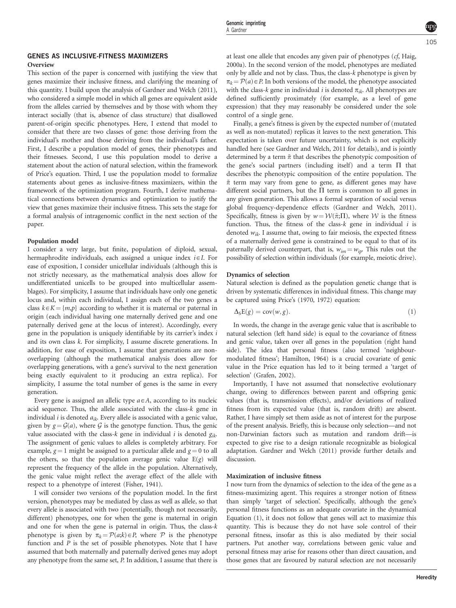# GENES AS INCLUSIVE-FITNESS MAXIMIZERS

# **Overview**

This section of the paper is concerned with justifying the view that genes maximize their inclusive fitness, and clarifying the meaning of this quantity. I build upon the analysis of [Gardner and Welch \(2011\),](#page-5-0) who considered a simple model in which all genes are equivalent aside from the alleles carried by themselves and by those with whom they interact socially (that is, absence of class structure) that disallowed parent-of-origin specific phenotypes. Here, I extend that model to consider that there are two classes of gene: those deriving from the individual's mother and those deriving from the individual's father. First, I describe a population model of genes, their phenotypes and their fitnesses. Second, I use this population model to derive a statement about the action of natural selection, within the framework of Price's equation. Third, I use the population model to formalize statements about genes as inclusive-fitness maximizers, within the framework of the optimization program. Fourth, I derive mathematical connections between dynamics and optimization to justify the view that genes maximize their inclusive fitness. This sets the stage for a formal analysis of intragenomic conflict in the next section of the paper.

## Population model

I consider a very large, but finite, population of diploid, sexual, hermaphrodite individuals, each assigned a unique index  $i \in I$ . For ease of exposition, I consider unicellular individuals (although this is not strictly necessary, as the mathematical analysis does allow for undifferentiated unicells to be grouped into multicellular assemblages). For simplicity, I assume that individuals have only one genetic locus and, within each individual, I assign each of the two genes a class  $k \in K = \{m,p\}$  according to whether it is maternal or paternal in origin (each individual having one maternally derived gene and one paternally derived gene at the locus of interest). Accordingly, every gene in the population is uniquely identifiable by its carrier's index  $i$ and its own class k. For simplicity, I assume discrete generations. In addition, for ease of exposition, I assume that generations are nonoverlapping (although the mathematical analysis does allow for overlapping generations, with a gene's survival to the next generation being exactly equivalent to it producing an extra replica). For simplicity, I assume the total number of genes is the same in every generation.

Every gene is assigned an allelic type  $a \in A$ , according to its nucleic acid sequence. Thus, the allele associated with the class-k gene in individual *i* is denoted  $a_{ik}$ . Every allele is associated with a genic value, given by  $g = \mathcal{G}(a)$ , where G is the genotype function. Thus, the genic value associated with the class-k gene in individual i is denoted  $g_{ik}$ . The assignment of genic values to alleles is completely arbitrary. For example,  $g = 1$  might be assigned to a particular allele and  $g = 0$  to all the others, so that the population average genic value  $E(g)$  will represent the frequency of the allele in the population. Alternatively, the genic value might reflect the average effect of the allele with respect to a phenotype of interest [\(Fisher, 1941](#page-5-0)).

I will consider two versions of the population model. In the first version, phenotypes may be mediated by class as well as allele, so that every allele is associated with two (potentially, though not necessarily, different) phenotypes, one for when the gene is maternal in origin and one for when the gene is paternal in origin. Thus, the class-k phenotype is given by  $\pi_k = \mathcal{P}(a;k) \in P$ , where  $\mathcal P$  is the phenotype function and  $P$  is the set of possible phenotypes. Note that I have assumed that both maternally and paternally derived genes may adopt any phenotype from the same set, P. In addition, I assume that there is

at least one allele that encodes any given pair of phenotypes (cf, [Haig,](#page-5-0) [2000a\)](#page-5-0). In the second version of the model, phenotypes are mediated only by allele and not by class. Thus, the class-k phenotype is given by  $\pi_k = \mathcal{P}(a) \in P$ . In both versions of the model, the phenotype associated with the class-k gene in individual i is denoted  $\pi_{ik}$ . All phenotypes are defined sufficiently proximately (for example, as a level of gene expression) that they may reasonably be considered under the sole control of a single gene.

Finally, a gene's fitness is given by the expected number of (mutated as well as non-mutated) replicas it leaves to the next generation. This expectation is taken over future uncertainty, which is not explicitly handled here (see [Gardner and Welch, 2011](#page-5-0) for details), and is jointly determined by a term  $\tilde{\pi}$  that describes the phenotypic composition of the gene's social partners (including itself) and a term  $\Pi$  that describes the phenotypic composition of the entire population. The  $\tilde{\pi}$  term may vary from gene to gene, as different genes may have different social partners, but the  $\Pi$  term is common to all genes in any given generation. This allows a formal separation of social versus global frequency-dependence effects [\(Gardner and Welch, 2011\)](#page-5-0). Specifically, fitness is given by  $w = \mathcal{W}(\tilde{\pi};\Pi)$ , where W is the fitness function. Thus, the fitness of the class- $k$  gene in individual  $i$  is denoted  $w_{ik}$ . I assume that, owing to fair meiosis, the expected fitness of a maternally derived gene is constrained to be equal to that of its paternally derived counterpart, that is,  $w_{im} = w_{ip}$ . This rules out the possibility of selection within individuals (for example, meiotic drive).

### Dynamics of selection

Natural selection is defined as the population genetic change that is driven by systematic differences in individual fitness. This change may be captured using [Price's \(1970, 1972\)](#page-5-0) equation:

$$
\Delta_{\mathcal{S}}E(g) = \text{cov}(w, g). \tag{1}
$$

In words, the change in the average genic value that is ascribable to natural selection (left hand side) is equal to the covariance of fitness and genic value, taken over all genes in the population (right hand side). The idea that personal fitness (also termed 'neighbourmodulated fitness'; [Hamilton, 1964](#page-5-0)) is a crucial covariate of genic value in the Price equation has led to it being termed a 'target of selection' ([Grafen, 2002\)](#page-5-0).

Importantly, I have not assumed that nonselective evolutionary change, owing to differences between parent and offspring genic values (that is, transmission effects), and/or deviations of realized fitness from its expected value (that is, random drift) are absent. Rather, I have simply set them aside as not of interest for the purpose of the present analysis. Briefly, this is because only selection—and not non-Darwinian factors such as mutation and random drift—is expected to give rise to a design rationale recognizable as biological adaptation. [Gardner and Welch \(2011\)](#page-5-0) provide further details and discussion.

#### Maximization of inclusive fitness

I now turn from the dynamics of selection to the idea of the gene as a fitness-maximizing agent. This requires a stronger notion of fitness than simply 'target of selection'. Specifically, although the gene's personal fitness functions as an adequate covariate in the dynamical Equation (1), it does not follow that genes will act to maximize this quantity. This is because they do not have sole control of their personal fitness, insofar as this is also mediated by their social partners. Put another way, correlations between genic value and personal fitness may arise for reasons other than direct causation, and those genes that are favoured by natural selection are not necessarily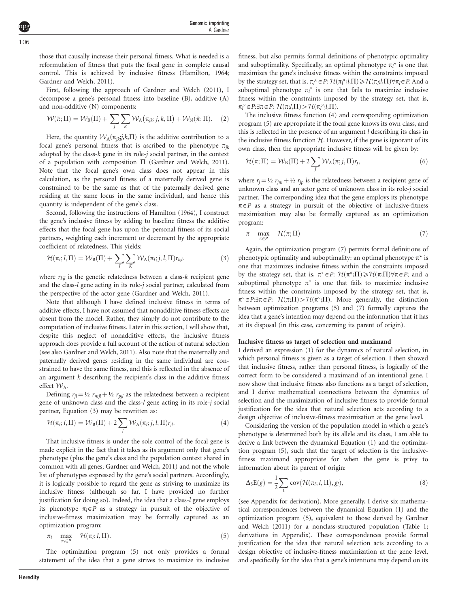Genomic imprinting A Gardner

those that causally increase their personal fitness. What is needed is a reformulation of fitness that puts the focal gene in complete causal control. This is achieved by inclusive fitness ([Hamilton, 1964](#page-5-0); [Gardner and Welch, 2011\)](#page-5-0).

First, following the approach of [Gardner and Welch \(2011\)](#page-5-0), I decompose a gene's personal fitness into baseline (B), additive (A) and non-additive (N) components:

$$
W(\tilde{\pi};\Pi) = \mathcal{W}_{B}(\Pi) + \sum_{J} \sum_{K} \mathcal{W}_{A}(\pi_{jk};j,k,\Pi) + \mathcal{W}_{N}(\tilde{\pi};\Pi). \quad (2)
$$

Here, the quantity  $W_A(\pi_{ik}j,k,\Pi)$  is the additive contribution to a focal gene's personal fitness that is ascribed to the phenotype  $\pi_{ik}$ adopted by the class-k gene in its role-j social partner, in the context of a population with composition  $\Pi$  ([Gardner and Welch, 2011\)](#page-5-0). Note that the focal gene's own class does not appear in this calculation, as the personal fitness of a maternally derived gene is constrained to be the same as that of the paternally derived gene residing at the same locus in the same individual, and hence this quantity is independent of the gene's class.

Second, following the instructions of [Hamilton \(1964\),](#page-5-0) I construct the gene's inclusive fitness by adding to baseline fitness the additive effects that the focal gene has upon the personal fitness of its social partners, weighting each increment or decrement by the appropriate coefficient of relatedness. This yields:

$$
\mathcal{H}(\pi_l; l, \Pi) = \mathcal{W}_B(\Pi) + \sum_{J} \sum_{K} \mathcal{W}_A(\pi_l; j, l, \Pi) r_{kjl}.
$$
 (3)

where  $r_{kil}$  is the genetic relatedness between a class- $k$  recipient gene and the class-l gene acting in its role-j social partner, calculated from the perspective of the actor gene ([Gardner and Welch, 2011](#page-5-0)).

Note that although I have defined inclusive fitness in terms of additive effects, I have not assumed that nonadditive fitness effects are absent from the model. Rather, they simply do not contribute to the computation of inclusive fitness. Later in this section, I will show that, despite this neglect of nonadditive effects, the inclusive fitness approach does provide a full account of the action of natural selection (see also [Gardner and Welch, 2011](#page-5-0)). Also note that the maternally and paternally derived genes residing in the same individual are constrained to have the same fitness, and this is reflected in the absence of an argument  $k$  describing the recipient's class in the additive fitness effect  $\mathcal{W}_A$ .

Defining  $r_{il} = \frac{1}{2} r_{mil} + \frac{1}{2} r_{bil}$  as the relatedness between a recipient gene of unknown class and the class-l gene acting in its role-j social partner, Equation (3) may be rewritten as:

$$
\mathcal{H}(\pi_l; l, \Pi) = \mathcal{W}_{\text{B}}(\Pi) + 2 \sum_{J} \mathcal{W}_{\text{A}}(\pi_l; j, l, \Pi) r_{jl}.
$$
\n(4)

That inclusive fitness is under the sole control of the focal gene is made explicit in the fact that it takes as its argument only that gene's phenotype (plus the gene's class and the population context shared in common with all genes; [Gardner and Welch, 2011\)](#page-5-0) and not the whole list of phenotypes expressed by the gene's social partners. Accordingly, it is logically possible to regard the gene as striving to maximize its inclusive fitness (although so far, I have provided no further justification for doing so). Indeed, the idea that a class-l gene employs its phenotype  $\pi_l \in P$  as a strategy in pursuit of the objective of inclusive-fitness maximization may be formally captured as an optimization program:

$$
\pi_l \max_{\pi_l \in P} \mathcal{H}(\pi_l; l, \Pi). \tag{5}
$$

The optimization program (5) not only provides a formal statement of the idea that a gene strives to maximize its inclusive fitness, but also permits formal definitions of phenotypic optimality and suboptimality. Specifically, an optimal phenotype  $\pi_l^*$  is one that maximizes the gene's inclusive fitness within the constraints imposed by the strategy set, that is,  $\pi_l^* \in P$ :  $\mathcal{H}(\pi_l^*;l,\Pi) \geq \mathcal{H}(\pi_l;l,\Pi) \forall \pi_l \in P$ . And a suboptimal phenotype  $\pi_l^{\circ}$  is one that fails to maximize inclusive fitness within the constraints imposed by the strategy set, that is,  $\pi_l^{\circ} \in P : \exists \pi \in P : \mathcal{H}(\pi_l; l, \Pi) > \mathcal{H}(\pi_l^{\circ}; l, \Pi).$ 

The inclusive fitness function (4) and corresponding optimization program (5) are appropriate if the focal gene knows its own class, and this is reflected in the presence of an argument l describing its class in the inclusive fitness function  $H$ . However, if the gene is ignorant of its own class, then the appropriate inclusive fitness will be given by:

$$
\mathcal{H}(\pi;\Pi) = \mathcal{W}_{B}(\Pi) + 2\sum_{J} \mathcal{W}_{A}(\pi; j, \Pi)r_{j},
$$
\n(6)

where  $r_j = \frac{1}{2} r_{jm} + \frac{1}{2} r_{jp}$  is the relatedness between a recipient gene of unknown class and an actor gene of unknown class in its role-j social partner. The corresponding idea that the gene employs its phenotype  $\pi \in P$  as a strategy in pursuit of the objective of inclusive-fitness maximization may also be formally captured as an optimization program:

$$
\pi \max_{\pi \in P} \mathcal{H}(\pi; \Pi) \tag{7}
$$

Again, the optimization program (7) permits formal definitions of phenotypic optimality and suboptimality: an optimal phenotype  $\pi^*$  is one that maximizes inclusive fitness within the constraints imposed by the strategy set, that is,  $\pi^* \in P$ :  $\mathcal{H}(\pi^*;\Pi) \geq \mathcal{H}(\pi;\Pi) \forall \pi \in P$ ; and a suboptimal phenotype  $\pi$ <sup>o</sup> is one that fails to maximize inclusive fitness within the constraints imposed by the strategy set, that is,  $\pi^{\circ} \in P:\exists \pi \in P: \mathcal{H}(\pi;\Pi) > \mathcal{H}(\pi^{\circ};\Pi)$ . More generally, the distinction between optimization programs (5) and (7) formally captures the idea that a gene's intention may depend on the information that it has at its disposal (in this case, concerning its parent of origin).

## Inclusive fitness as target of selection and maximand

I derived an expression (1) for the dynamics of natural selection, in which personal fitness is given as a target of selection. I then showed that inclusive fitness, rather than personal fitness, is logically of the correct form to be considered a maximand of an intentional gene. I now show that inclusive fitness also functions as a target of selection, and I derive mathematical connections between the dynamics of selection and the maximization of inclusive fitness to provide formal justification for the idea that natural selection acts according to a design objective of inclusive-fitness maximization at the gene level.

Considering the version of the population model in which a gene's phenotype is determined both by its allele and its class, I am able to derive a link between the dynamical Equation (1) and the optimization program (5), such that the target of selection is the inclusivefitness maximand appropriate for when the gene is privy to information about its parent of origin:

$$
\Delta_{\rm S}E(g) = \frac{1}{2} \sum_{L} \text{cov}(\mathcal{H}(\pi_l; l, \Pi), g_l), \tag{8}
$$

(see Appendix for derivation). More generally, I derive six mathematical correspondences between the dynamical Equation (1) and the optimization program (5), equivalent to those derived by [Gardner](#page-5-0) [and Welch \(2011\)](#page-5-0) for a nonclass-structured population [\(Table 1](#page-3-0); derivations in Appendix). These correspondences provide formal justification for the idea that natural selection acts according to a design objective of inclusive-fitness maximization at the gene level, and specifically for the idea that a gene's intentions may depend on its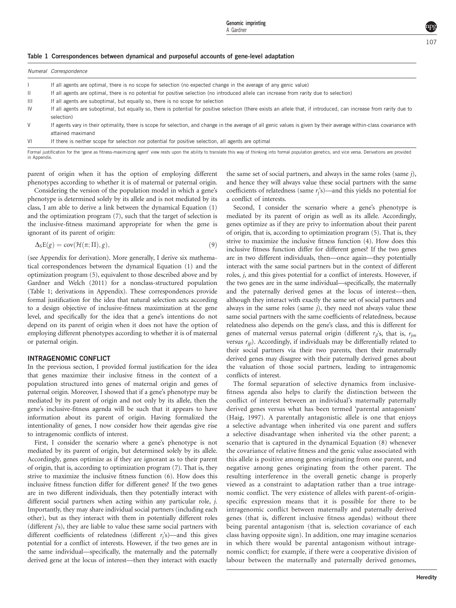# <span id="page-3-0"></span>Table 1 Correspondences between dynamical and purposeful accounts of gene-level adaptation

|              | Numeral Correspondence                                                                                                                                                                      |
|--------------|---------------------------------------------------------------------------------------------------------------------------------------------------------------------------------------------|
|              | If all agents are optimal, there is no scope for selection (no expected change in the average of any genic value)                                                                           |
| $\mathbf{H}$ | If all agents are optimal, there is no potential for positive selection (no introduced allele can increase from rarity due to selection)                                                    |
| Ш            | If all agents are suboptimal, but equally so, there is no scope for selection                                                                                                               |
| IV           | If all agents are suboptimal, but equally so, there is potential for positive selection (there exists an allele that, if introduced, can increase from rarity due to<br>selection)          |
| V            | If agents vary in their optimality, there is scope for selection, and change in the average of all genic values is given by their average within-class covariance with<br>attained maximand |

VI If there is neither scope for selection nor potential for positive selection, all agents are optimal

Formal justification for the 'gene as fitness-maximizing agent' view rests upon the ability to translate this way of thinking into formal population genetics, and vice versa. Derivations are provided in Appendix.

parent of origin when it has the option of employing different phenotypes according to whether it is of maternal or paternal origin.

Considering the version of the population model in which a gene's phenotype is determined solely by its allele and is not mediated by its class, I am able to derive a link between the dynamical Equation (1) and the optimization program (7), such that the target of selection is the inclusive-fitness maximand appropriate for when the gene is ignorant of its parent of origin:

$$
\Delta_{\mathcal{S}}E(g) = \text{cov}(\mathcal{H}(\pi;\Pi),g),\tag{9}
$$

(see Appendix for derivation). More generally, I derive six mathematical correspondences between the dynamical Equation (1) and the optimization program (5), equivalent to those described above and by [Gardner and Welch \(2011\)](#page-5-0) for a nonclass-structured population (Table 1; derivations in Appendix). These correspondences provide formal justification for the idea that natural selection acts according to a design objective of inclusive-fitness maximization at the gene level, and specifically for the idea that a gene's intentions do not depend on its parent of origin when it does not have the option of employing different phenotypes according to whether it is of maternal or paternal origin.

## INTRAGENOMIC CONFLICT

In the previous section, I provided formal justification for the idea that genes maximize their inclusive fitness in the context of a population structured into genes of maternal origin and genes of paternal origin. Moreover, I showed that if a gene's phenotype may be mediated by its parent of origin and not only by its allele, then the gene's inclusive-fitness agenda will be such that it appears to have information about its parent of origin. Having formalized the intentionality of genes, I now consider how their agendas give rise to intragenomic conflicts of interest.

First, I consider the scenario where a gene's phenotype is not mediated by its parent of origin, but determined solely by its allele. Accordingly, genes optimize as if they are ignorant as to their parent of origin, that is, according to optimization program (7). That is, they strive to maximize the inclusive fitness function (6). How does this inclusive fitness function differ for different genes? If the two genes are in two different individuals, then they potentially interact with different social partners when acting within any particular role, j. Importantly, they may share individual social partners (including each other), but as they interact with them in potentially different roles (different  $j$ 's), they are liable to value these same social partners with different coefficients of relatedness (different  $r_j$ 's)—and this gives potential for a conflict of interests. However, if the two genes are in the same individual—specifically, the maternally and the paternally derived gene at the locus of interest—then they interact with exactly

the same set of social partners, and always in the same roles (same j), and hence they will always value these social partners with the same coefficients of relatedness (same  $r_i$ 's)—and this yields no potential for a conflict of interests.

Second, I consider the scenario where a gene's phenotype is mediated by its parent of origin as well as its allele. Accordingly, genes optimize as if they are privy to information about their parent of origin, that is, according to optimization program (5). That is, they strive to maximize the inclusive fitness function (4). How does this inclusive fitness function differ for different genes? If the two genes are in two different individuals, then—once again—they potentially interact with the same social partners but in the context of different roles, j, and this gives potential for a conflict of interests. However, if the two genes are in the same individual—specifically, the maternally and the paternally derived genes at the locus of interest—then, although they interact with exactly the same set of social partners and always in the same roles (same  $j$ ), they need not always value these same social partners with the same coefficients of relatedness, because relatedness also depends on the gene's class, and this is different for genes of maternal versus paternal origin (different  $r_{ij}$ 's, that is,  $r_{im}$ versus  $r_{in}$ ). Accordingly, if individuals may be differentially related to their social partners via their two parents, then their maternally derived genes may disagree with their paternally derived genes about the valuation of those social partners, leading to intragenomic conflicts of interest.

The formal separation of selective dynamics from inclusivefitness agenda also helps to clarify the distinction between the conflict of interest between an individual's maternally paternally derived genes versus what has been termed 'parental antagonism' [\(Haig, 1997](#page-5-0)). A parentally antagonistic allele is one that enjoys a selective advantage when inherited via one parent and suffers a selective disadvantage when inherited via the other parent; a scenario that is captured in the dynamical Equation (8) whenever the covariance of relative fitness and the genic value associated with this allele is positive among genes originating from one parent, and negative among genes originating from the other parent. The resulting interference in the overall genetic change is properly viewed as a constraint to adaptation rather than a true intragenomic conflict. The very existence of alleles with parent-of-originspecific expression means that it is possible for there to be intragenomic conflict between maternally and paternally derived genes (that is, different inclusive fitness agendas) without there being parental antagonism (that is, selection covariance of each class having opposite sign). In addition, one may imagine scenarios in which there would be parental antagonism without intragenomic conflict; for example, if there were a cooperative division of labour between the maternally and paternally derived genomes,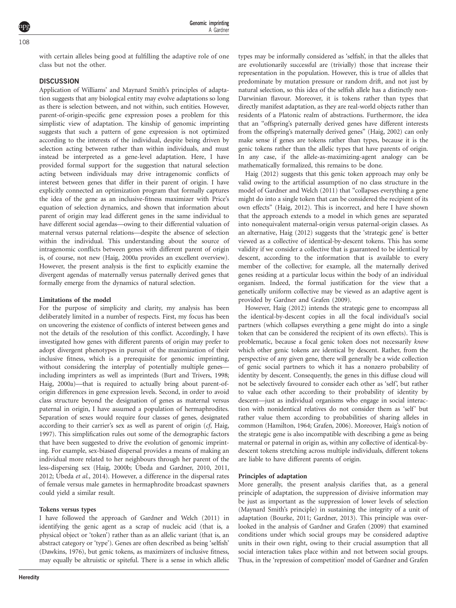with certain alleles being good at fulfilling the adaptive role of one class but not the other.

## **DISCUSSION**

Application of Williams' and Maynard Smith's principles of adaptation suggests that any biological entity may evolve adaptations so long as there is selection between, and not within, such entities. However, parent-of-origin-specific gene expression poses a problem for this simplistic view of adaptation. The kinship of genomic imprinting suggests that such a pattern of gene expression is not optimized according to the interests of the individual, despite being driven by selection acting between rather than within individuals, and must instead be interpreted as a gene-level adaptation. Here, I have provided formal support for the suggestion that natural selection acting between individuals may drive intragenomic conflicts of interest between genes that differ in their parent of origin. I have explicitly connected an optimization program that formally captures the idea of the gene as an inclusive-fitness maximizer with Price's equation of selection dynamics, and shown that information about parent of origin may lead different genes in the same individual to have different social agendas—owing to their differential valuation of maternal versus paternal relations—despite the absence of selection within the individual. This understanding about the source of intragenomic conflicts between genes with different parent of origin is, of course, not new [\(Haig, 2000a](#page-5-0) provides an excellent overview). However, the present analysis is the first to explicitly examine the divergent agendas of maternally versus paternally derived genes that formally emerge from the dynamics of natural selection.

#### Limitations of the model

For the purpose of simplicity and clarity, my analysis has been deliberately limited in a number of respects. First, my focus has been on uncovering the existence of conflicts of interest between genes and not the details of the resolution of this conflict. Accordingly, I have investigated how genes with different parents of origin may prefer to adopt divergent phenotypes in pursuit of the maximization of their inclusive fitness, which is a prerequisite for genomic imprinting, without considering the interplay of potentially multiple genes including imprinters as well as imprinteds [\(Burt and Trivers, 1998](#page-5-0); [Haig, 2000a\)](#page-5-0)—that is required to actually bring about parent-oforigin differences in gene expression levels. Second, in order to avoid class structure beyond the designation of genes as maternal versus paternal in origin, I have assumed a population of hermaphrodites. Separation of sexes would require four classes of genes, designated according to their carrier's sex as well as parent of origin (cf, Haig, 1997). This simplification rules out some of the demographic factors that have been suggested to drive the evolution of genomic imprinting. For example, sex-biased dispersal provides a means of making an individual more related to her neighbours through her parent of the less-dispersing sex [\(Haig, 2000b](#page-5-0); Ü[beda and Gardner, 2010, 2011,](#page-5-0) [2012](#page-5-0); Ubeda et al.[, 2014\)](#page-5-0). However, a difference in the dispersal rates of female versus male gametes in hermaphrodite broadcast spawners could yield a similar result.

#### Tokens versus types

I have followed the approach of [Gardner and Welch \(2011\)](#page-5-0) in identifying the genic agent as a scrap of nucleic acid (that is, a physical object or 'token') rather than as an allelic variant (that is, an abstract category or 'type'). Genes are often described as being 'selfish' ([Dawkins, 1976\)](#page-5-0), but genic tokens, as maximizers of inclusive fitness, may equally be altruistic or spiteful. There is a sense in which allelic types may be informally considered as 'selfish', in that the alleles that are evolutionarily successful are (trivially) those that increase their representation in the population. However, this is true of alleles that predominate by mutation pressure or random drift, and not just by natural selection, so this idea of the selfish allele has a distinctly non-Darwinian flavour. Moreover, it is tokens rather than types that directly manifest adaptation, as they are real-world objects rather than residents of a Platonic realm of abstractions. Furthermore, the idea that an ''offspring's paternally derived genes have different interests from the offspring's maternally derived genes'' ([Haig, 2002](#page-5-0)) can only make sense if genes are tokens rather than types, because it is the genic tokens rather than the allelic types that have parents of origin. In any case, if the allele-as-maximizing-agent analogy can be mathematically formalized, this remains to be done.

[Haig \(2012\)](#page-5-0) suggests that this genic token approach may only be valid owing to the artificial assumption of no class structure in the model of [Gardner and Welch \(2011\)](#page-5-0) that ''collapses everything a gene might do into a single token that can be considered the recipient of its own effects'' [\(Haig, 2012\)](#page-5-0). This is incorrect, and here I have shown that the approach extends to a model in which genes are separated into nonequivalent maternal-origin versus paternal-origin classes. As an alternative, [Haig \(2012\)](#page-5-0) suggests that the 'strategic gene' is better viewed as a collective of identical-by-descent tokens. This has some validity if we consider a collective that is guaranteed to be identical by descent, according to the information that is available to every member of the collective; for example, all the maternally derived genes residing at a particular locus within the body of an individual organism. Indeed, the formal justification for the view that a genetically uniform collective may be viewed as an adaptive agent is provided by [Gardner and Grafen \(2009\)](#page-5-0).

However, [Haig \(2012\)](#page-5-0) intends the strategic gene to encompass all the identical-by-descent copies in all the focal individual's social partners (which collapses everything a gene might do into a single token that can be considered the recipient of its own effects). This is problematic, because a focal genic token does not necessarily know which other genic tokens are identical by descent. Rather, from the perspective of any given gene, there will generally be a wide collection of genic social partners to which it has a nonzero probability of identity by descent. Consequently, the genes in this diffuse cloud will not be selectively favoured to consider each other as 'self', but rather to value each other according to their probability of identity by descent—just as individual organisms who engage in social interaction with nonidentical relatives do not consider them as 'self' but rather value them according to probabilities of sharing alleles in common [\(Hamilton, 1964](#page-5-0); [Grafen, 2006](#page-5-0)). Moreover, Haig's notion of the strategic gene is also incompatible with describing a gene as being maternal or paternal in origin as, within any collective of identical-bydescent tokens stretching across multiple individuals, different tokens are liable to have different parents of origin.

#### Principles of adaptation

More generally, the present analysis clarifies that, as a general principle of adaptation, the suppression of divisive information may be just as important as the suppression of lower levels of selection (Maynard Smith's principle) in sustaining the integrity of a unit of adaptation [\(Bourke, 2011](#page-5-0); [Gardner, 2013](#page-5-0)). This principle was overlooked in the analysis of [Gardner and Grafen \(2009\)](#page-5-0) that examined conditions under which social groups may be considered adaptive units in their own right, owing to their crucial assumption that all social interaction takes place within and not between social groups. Thus, in the 'repression of competition' model of [Gardner and Grafen](#page-5-0)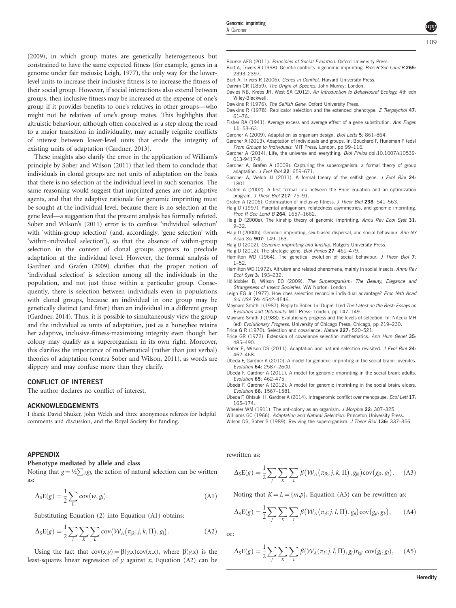<span id="page-5-0"></span>(2009), in which group mates are genetically heterogeneous but constrained to have the same expected fitness (for example, genes in a genome under fair meiosis; Leigh, 1977), the only way for the lowerlevel units to increase their inclusive fitness is to increase the fitness of their social group. However, if social interactions also extend between groups, then inclusive fitness may be increased at the expense of one's group if it provides benefits to one's relatives in other groups—who might not be relatives of one's group mates. This highlights that altruistic behaviour, although often conceived as a step along the road to a major transition in individuality, may actually reignite conflicts of interest between lower-level units that erode the integrity of existing units of adaptation (Gardner, 2013).

These insights also clarify the error in the application of William's principle by Sober and Wilson (2011) that led them to conclude that individuals in clonal groups are not units of adaptation on the basis that there is no selection at the individual level in such scenarios. The same reasoning would suggest that imprinted genes are not adaptive agents, and that the adaptive rationale for genomic imprinting must be sought at the individual level, because there is no selection at the gene level—a suggestion that the present analysis has formally refuted. Sober and Wilson's (2011) error is to confuse 'individual selection' with 'within-group selection' (and, accordingly, 'gene selection' with 'within-individual selection'), so that the absence of within-group selection in the context of clonal groups appears to preclude adaptation at the individual level. However, the formal analysis of Gardner and Grafen (2009) clarifies that the proper notion of 'individual selection' is selection among all the individuals in the population, and not just those within a particular group. Consequently, there is selection between individuals even in populations with clonal groups, because an individual in one group may be genetically distinct (and fitter) than an individual in a different group (Gardner, 2014). Thus, it is possible to simultaneously view the group and the individual as units of adaptation, just as a honeybee retains her adaptive, inclusive-fitness-maximizing integrity even though her colony may qualify as a superorganism in its own right. Moreover, this clarifies the importance of mathematical (rather than just verbal) theories of adaptation (contra Sober and Wilson, 2011), as words are slippery and may confuse more than they clarify.

## CONFLICT OF INTEREST

The author declares no conflict of interest.

#### ACKNOWLEDGEMENTS

I thank David Shuker, John Welch and three anonymous referees for helpful comments and discussion, and the Royal Society for funding.

#### APPENDIX

#### Phenotype mediated by allele and class

Noting that  $g = \frac{1}{2} \sum_{l} g_l$ , the action of natural selection can be written as:

$$
\Delta_{\mathcal{S}}E(g) = \frac{1}{2} \sum_{L} \text{cov}(w, g_l). \tag{A1}
$$

Substituting Equation (2) into Equation (A1) obtains:

$$
\Delta_{\rm S}E(g) = \frac{1}{2} \sum_{J} \sum_{K} \sum_{L} \text{cov}(\mathcal{W}_A(\pi_{jk}; j, k, \Pi), g_I).
$$
 (A2)

Using the fact that  $cov(x,y) = \beta(y,x)cov(x,x)$ , where  $\beta(y,x)$  is the least-squares linear regression of  $y$  against  $x$ , Equation (A2) can be

- Bourke AFG (2011). Principles of Social Evolution. Oxford University Press.
- Burt A, Trivers R (1998). Genetic conflicts in genomic imprinting. Proc R Soc Lond B 265: 2393–2397.
- Burt A, Trivers R (2006). Genes in Conflict. Harvard University Press.
- Darwin CR (1859). The Origin of Species. John Murray: London.
- Davies NB, Krebs JR, West SA (2012). An Introduction to Behavioural Ecology, 4th edn Wiley-Blackwell.
- Dawkins R (1976). The Selfish Gene. Oxford University Press.
- Dawkins R (1978). Replicator selection and the extended phenotype. Z Tierpsychol 47: 61–76.
- Fisher RA (1941). Average excess and average effect of a gene substitution. Ann Eugen 11: 53–63.
- Gardner A (2009). Adaptation as organism design. Biol Letts 5: 861-864.
- Gardner A (2013). Adaptation of individuals and groups. In: Bouchard F, Huneman P (eds) From Groups to Individuals. MIT Press: London, pp 99–116.
- Gardner A (2014). Life, the universe and everything. Biol Philos doi:10.1007/s10539- 013-9417-8.
- Gardner A, Grafen A (2009). Capturing the superorganism: a formal theory of group adaptation. J Evol Biol 22: 659-671.
- Gardner A, Welch JJ (2011). A formal theory of the selfish gene. J Evol Biol 24: 1801.
- Grafen A (2002). A first formal link between the Price equation and an optimization program. J Theor Biol 217: 75-91.
- Grafen A (2006). Optimization of inclusive fitness. J Theor Biol 238: 541-563. Haig D (1997). Parental antagonism, relatedness asymmetries, and genomic imprinting.
- Proc R Soc Lond B 264: 1657–1662. Haig D (2000a). The kinship theory of genomic imprinting. Annu Rev Ecol Syst 31:
- 9–32.
- Haig D (2000b). Genomic imprinting, sex-biased dispersal, and social behaviour. Ann NY Acad Sci 907: 149–163.
- Haig D (2002). Genomic imprinting and kinship. Rutgers University Press.
- Haig D (2012). The strategic gene. Biol Philos 27: 461–479.
- Hamilton WD (1964). The genetical evolution of social behaviour. J Theor Biol 7: 1–52.
- Hamilton WD (1972). Altruism and related phenomena, mainly in social insects. Annu Rev Ecol Syst 3: 193–232.
- Hölldobler B, Wilson EO (2009). The Superorganism: The Beauty, Elegance and Strangeness of Insect Societies. WW Norton: London.
- Leigh EG Jr (1977). How does selection reconcile individual advantage? Proc Natl Acad Sci USA 74: 4542–4546.
- Maynard Smith J (1987). Reply to Sober. In: Dupré J (ed The Latest on the Best: Essays on Evolution and Optimality. MIT Press: London, pp 147–149.
- Maynard Smith J (1988). Evolutionary progress and the levels of selection. In: Nitecki MH (ed) Evolutionary Progress. University of Chicago Press: Chicago, pp 219–230.
- Price G R (1970). Selection and covariance. Nature 227: 520-521.
- Price GR (1972). Extension of covariance selection mathematics. Ann Hum Genet 35: 485–490.
- Sober E, Wilson DS (2011). Adaptation and natural selection revisited. *J Evol Biol* 24: 462–468.
- Úbeda F, Gardner A (2010). A model for genomic imprinting in the social brain: juveniles. Evolution 64: 2587–2600.
- Úbeda F, Gardner A (2011). A model for genomic imprinting in the social brain: adults. Evolution 65: 462–475.
- Úbeda F, Gardner A (2012). A model for genomic imprinting in the social brain: elders. Evolution 66: 1567–1581.
- Úbeda F, Ohtsuki H, Gardner A (2014). Intragenomic conflict over menopause. Ecol Lett 17: 165–174.

Wheeler WM (1911). The ant-colony as an organism. J Morphol 22: 307-325.

Williams GC (1966). Adaptation and Natural Selection. Princeton University Press. Wilson DS, Sober S (1989). Reviving the superorganism. J Theor Biol 136: 337-356.

rewritten as:

$$
\Delta_{S}E(g) = \frac{1}{2} \sum_{J} \sum_{K} \sum_{L} \beta \left( \mathcal{W}_{A} \left( \pi_{jk}; j, k, \Pi \right), g_{jk} \right) \text{cov}\left(g_{jk}, g_{l}\right). \tag{A3}
$$

Noting that  $K = L = \{m, p\}$ , Equation (A3) can be rewritten as:

$$
\Delta_{S}E(g) = \frac{1}{2} \sum_{J} \sum_{K} \sum_{L} \beta(\mathcal{W}_{A}(\pi_{jl}; j, l, \Pi), g_{jl}) \text{cov}(g_{jl}, g_{k}), \quad (A4)
$$

or:

$$
\Delta_{\mathcal{S}}E(g) = \frac{1}{2} \sum_{J} \sum_{K} \sum_{L} \beta(\mathcal{W}_{A}(\pi_{I}; j, l, \Pi), g_{I}) r_{kjl} \text{ cov}(g_{I}, g_{I}), \quad (A5)
$$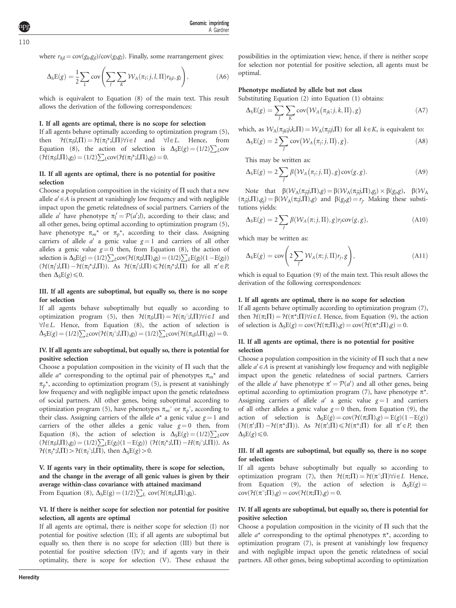110

where  $r_{kj} = \text{cov}(g_{k}g_{jl})/\text{cov}(g_{l}g_{l})$ . Finally, some rearrangement gives:

$$
\Delta_{S}E(g) = \frac{1}{2} \sum_{L} cov \left( \sum_{J} \sum_{K} W_{A}(\pi_{I}; j, l, \Pi) r_{kjl}, g_{l} \right),
$$
 (A6)

which is equivalent to Equation (8) of the main text. This result allows the derivation of the following correspondences:

#### I. If all agents are optimal, there is no scope for selection

If all agents behave optimally according to optimization program (5), then  $\mathcal{H}(\pi_j; l, \Pi) = \mathcal{H}(\pi_l^*; l, \Pi) \forall i \in I$  and  $\forall l \in L$ . Hence, from Equation (8), the action of selection is  $\Delta_S E(g) = (1/2)\sum_L cov$  $(\mathcal{H}(\pi_{\mathcal{B}}^1,\Pi),g_l) = (1/2)\sum_{L} \text{cov}(\mathcal{H}(\pi_{\mathcal{I}}^*;\{I,\Pi),g_l) = 0.$ 

## II. If all agents are optimal, there is no potential for positive selection

Choose a population composition in the vicinity of  $\Pi$  such that a new allele  $a' \in A$  is present at vanishingly low frequency and with negligible impact upon the genetic relatedness of social partners. Carriers of the allele *a'* have phenotype  $\pi$ <sup>*l*</sup> =  $\mathcal{P}(a^{\prime};l)$ , according to their class; and all other genes, being optimal according to optimization program (5), have phenotype  $\pi_m^*$  or  $\pi_p^*$ , according to their class. Assigning carriers of allele  $a'$  a genic value  $g = 1$  and carriers of all other alleles a genic value  $g = 0$  then, from Equation (8), the action of selection is  $\Delta_S E(g) = (1/2)\sum_L cov(\mathcal{H}(\pi_b l, \Pi), g_l) = (1/2)\sum_L E(g_l)(1 - E(g_l))$  $(\mathcal{H}(\pi_i';l,\Pi)-\mathcal{H}(\pi_i^{\star};l,\Pi)).\ \ \text{As}\ \ \mathcal{H}(\pi_i';l,\Pi)\leqslant\mathcal{H}(\pi_i^{\star};l,\Pi)\ \ \text{for\ \ all}\ \ \pi'\in P,$ then  $\Delta$ <sub>S</sub>E(g)  $\leq 0$ .

## III. If all agents are suboptimal, but equally so, there is no scope for selection

If all agents behave suboptimally but equally so according to optimization program (5), then  $\mathcal{H}(\pi_{i};l,\Pi) = \mathcal{H}(\pi_{l}^{0};l,\Pi) \forall i \in I$  and  $\forall l \in L$ . Hence, from Equation (8), the action of selection is  $\Delta_{\rm S}E(g) = (1/2)\sum_{L}cov(\mathcal{H}(\pi_{l}^{\circ};l,\Pi),g_{l}) = (1/2)\sum_{L}cov(\mathcal{H}(\pi_{il}^{\circ};l,\Pi),g_{l}) = 0.$ 

## IV. If all agents are suboptimal, but equally so, there is potential for positive selection

Choose a population composition in the vicinity of  $\Pi$  such that the allele  $a^*$  corresponding to the optimal pair of phenotypes  $\pi_m^*$  and  $\pi_p^*$ , according to optimization program (5), is present at vanishingly low frequency and with negligible impact upon the genetic relatedness of social partners. All other genes, being suboptimal according to optimization program (5), have phenotypes  $\pi_m^{\circ}$  or  $\pi_p^{\circ}$ , according to their class. Assigning carriers of the allele  $a^*$  a genic value  $g = 1$  and carriers of the other alleles a genic value  $g = 0$  then, from Equation (8), the action of selection is  $\Delta_S E(g) = (1/2)\sum_L cov$  $(\mathcal{H}(\pi_{\beta},\Pi),g_{\beta}) = (1/2)\sum_{L}E(g_{\beta})(1-E(g_{\beta})) (\mathcal{H}(\pi_{\beta}^*;l,\Pi) - H(\pi_{\beta}^{\circ};l,\Pi)).$  As  $\mathcal{H}(\pi_l^*;l,\Pi) > \mathcal{H}(\pi_l^{\circ};l,\Pi)$ , then  $\Delta_S E(g) > 0$ .

V. If agents vary in their optimality, there is scope for selection, and the change in the average of all genic values is given by their average within-class covariance with attained maximand From Equation (8),  $\Delta$ <sub>S</sub>E(g) = (1/2) $\Sigma$ <sub>L</sub> cov( $\mathcal{H}(\pi_1;I,\Pi)$ ,g<sub>l</sub>).

## VI. If there is neither scope for selection nor potential for positive selection, all agents are optimal

If all agents are optimal, there is neither scope for selection (I) nor potential for positive selection (II); if all agents are suboptimal but equally so, then there is no scope for selection (III) but there is potential for positive selection (IV); and if agents vary in their optimality, there is scope for selection (V). These exhaust the

possibilities in the optimization view; hence, if there is neither scope for selection nor potential for positive selection, all agents must be optimal.

## Phenotype mediated by allele but not class

Substituting Equation (2) into Equation (1) obtains:

$$
\Delta_{\rm S}E(g) = \sum_{J} \sum_{K} \text{cov}\left(\mathcal{W}_A\left(\pi_{jk}; j, k, \Pi\right), g\right) \tag{A7}
$$

which, as  $W_A(\pi_{jk}j,k,\Pi) = W_A(\pi_{ji}j,\Pi)$  for all  $k \in K$ , is equivalent to:

$$
\Delta_{\rm S} E(g) = 2 \sum_{J} \text{cov}(\mathcal{W}_A(\pi_j; j, \Pi), g). \tag{A8}
$$

This may be written as:

$$
\Delta_S E(g) = 2 \sum_{J} \beta \big( \mathcal{W}_A(\pi_j; j, \Pi), g \big) \text{cov}(g, g). \tag{A9}
$$

Note that  $\beta(\mathcal{W}_A(\pi_{ji},\Pi),g) = \beta(\mathcal{W}_A(\pi_{ji},\Pi),g_j) \times \beta(g_{ji}g), \beta(\mathcal{W}_A)$  $(\pi_{ji},\Pi),g_j$  =  $\beta(\mathcal{W}_A(\pi_{i},\Pi),g)$  and  $\beta(g_j,g) = r_j$ . Making these substitutions yields:

$$
\Delta_{\mathcal{S}}E(g) = 2\sum_{J} \beta(\mathcal{W}_A(\pi; j, \Pi), g)r_j \text{cov}(g, g), \tag{A10}
$$

which may be written as:

$$
\Delta_{\mathcal{S}}E(g) = \text{cov}\left(2\sum_{J} \mathcal{W}_A(\pi; j, \Pi)r_j, g\right),\tag{A11}
$$

which is equal to Equation (9) of the main text. This result allows the derivation of the following correspondences:

#### I. If all agents are optimal, there is no scope for selection

If all agents behave optimally according to optimization program (7), then  $\mathcal{H}(\pi;\Pi) = \mathcal{H}(\pi^*;\Pi) \forall i \in I$ . Hence, from Equation (9), the action of selection is  $\Delta_{S}E(g) = cov(\mathcal{H}(\pi;\Pi),g) = cov(\mathcal{H}(\pi^*;\Pi),g) = 0.$ 

#### II. If all agents are optimal, there is no potential for positive selection

Choose a population composition in the vicinity of  $\Pi$  such that a new allele  $a' \in A$  is present at vanishingly low frequency and with negligible impact upon the genetic relatedness of social partners. Carriers of the allele a' have phenotype  $\pi' = \mathcal{P}(a')$  and all other genes, being optimal according to optimization program (7), have phenotype  $\pi^*$ . Assigning carriers of allele  $a'$  a genic value  $g = 1$  and carriers of all other alleles a genic value  $g = 0$  then, from Equation (9), the action of selection is  $\Delta_S E(g) = cov(\mathcal{H}(\pi;\Pi),g) = E(g)(1 - E(g))$  $(\mathcal{H}(\pi';\Pi) - \mathcal{H}(\pi^*;\Pi)).$  As  $\mathcal{H}(\pi';\Pi) \leq \mathcal{H}(\pi^*;\Pi)$  for all  $\pi' \in P$ , then  $\Delta_{\varsigma}E(g)\leq0.$ 

## III. If all agents are suboptimal, but equally so, there is no scope for selection

If all agents behave suboptimally but equally so according to optimization program (7), then  $\mathcal{H}(\pi;\Pi) = \mathcal{H}(\pi^{\circ};\Pi) \forall i \in I$ . Hence, from Equation (9), the action of selection is  $\Delta_S E(g) =$  $cov(\mathcal{H}(\pi^{\circ};\Pi),g) = cov(\mathcal{H}(\pi;\Pi),g) = 0.$ 

## IV. If all agents are suboptimal, but equally so, there is potential for positive selection

Choose a population composition in the vicinity of  $\Pi$  such that the allele  $a^*$  corresponding to the optimal phenotypes  $\pi^*$ , according to optimization program (7), is present at vanishingly low frequency and with negligible impact upon the genetic relatedness of social partners. All other genes, being suboptimal according to optimization